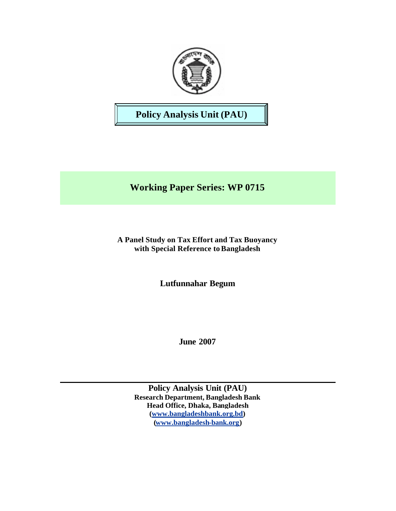

# **Policy Analysis Unit (PAU)**

# **Working Paper Series: WP 0715**

**A Panel Study on Tax Effort and Tax Buoyancy with Special Reference to Bangladesh** 

**Lutfunnahar Begum**

**June 2007**

**Policy Analysis Unit (PAU) Research Department, Bangladesh Bank Head Office, Dhaka, Bangladesh (www.bangladeshbank.org.bd) (www.bangladesh-bank.org)**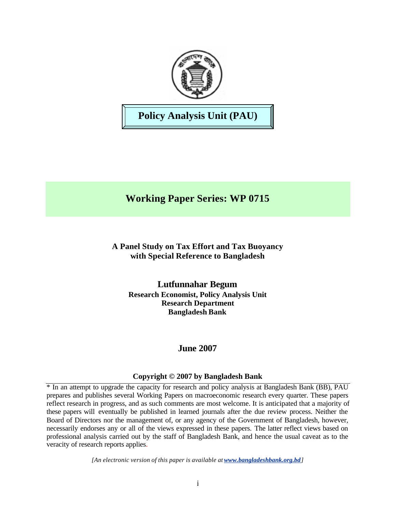

# **Policy Analysis Unit (PAU)**

# **Working Paper Series: WP 0715**

# **A Panel Study on Tax Effort and Tax Buoyancy with Special Reference to Bangladesh**

**Lutfunnahar Begum Research Economist, Policy Analysis Unit Research Department Bangladesh Bank**

# **June 2007**

## **Copyright © 2007 by Bangladesh Bank**

\* In an attempt to upgrade the capacity for research and policy analysis at Bangladesh Bank (BB), PAU prepares and publishes several Working Papers on macroeconomic research every quarter. These papers reflect research in progress, and as such comments are most welcome. It is anticipated that a majority of these papers will eventually be published in learned journals after the due review process. Neither the Board of Directors nor the management of, or any agency of the Government of Bangladesh, however, necessarily endorses any or all of the views expressed in these papers. The latter reflect views based on professional analysis carried out by the staff of Bangladesh Bank, and hence the usual caveat as to the veracity of research reports applies.

*[An electronic version of this paper is available at www.bangladeshbank.org.bd]*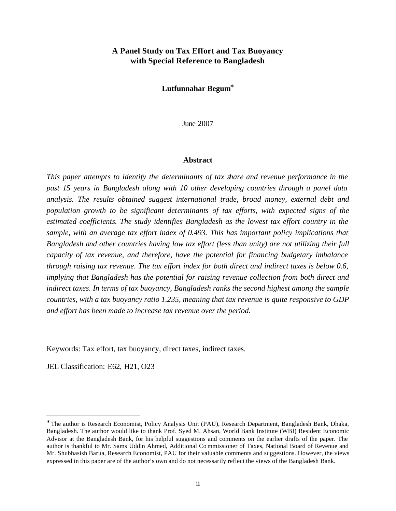## **A Panel Study on Tax Effort and Tax Buoyancy with Special Reference to Bangladesh**

#### **Lutfunnahar Begum\***

June 2007

#### **Abstract**

*This paper attempts to identify the determinants of tax share and revenue performance in the past 15 years in Bangladesh along with 10 other developing countries through a panel data analysis. The results obtained suggest international trade, broad money, external debt and population growth to be significant determinants of tax efforts, with expected signs of the estimated coefficients. The study identifies Bangladesh as the lowest tax effort country in the sample, with an average tax effort index of 0.493. This has important policy implications that Bangladesh and other countries having low tax effort (less than unity) are not utilizing their full capacity of tax revenue, and therefore, have the potential for financing budgetary imbalance through raising tax revenue. The tax effort index for both direct and indirect taxes is below 0.6, implying that Bangladesh has the potential for raising revenue collection from both direct and indirect taxes. In terms of tax buoyancy, Bangladesh ranks the second highest among the sample countries, with a tax buoyancy ratio 1.235, meaning that tax revenue is quite responsive to GDP and effort has been made to increase tax revenue over the period.* 

Keywords: Tax effort, tax buoyancy, direct taxes, indirect taxes.

JEL Classification: E62, H21, O23

 $\overline{a}$ 

<sup>∗</sup> The author is Research Economist, Policy Analysis Unit (PAU), Research Department, Bangladesh Bank, Dhaka, Bangladesh. The author would like to thank Prof. Syed M. Ahsan, World Bank Institute (WBI) Resident Economic Advisor at the Bangladesh Bank, for his helpful suggestions and comments on the earlier drafts of the paper. The author is thankful to Mr. Sams Uddin Ahmed, Additional Co mmissioner of Taxes, National Board of Revenue and Mr. Shubhasish Barua, Research Economist, PAU for their valuable comments and suggestions. However, the views expressed in this paper are of the author's own and do not necessarily reflect the views of the Bangladesh Bank.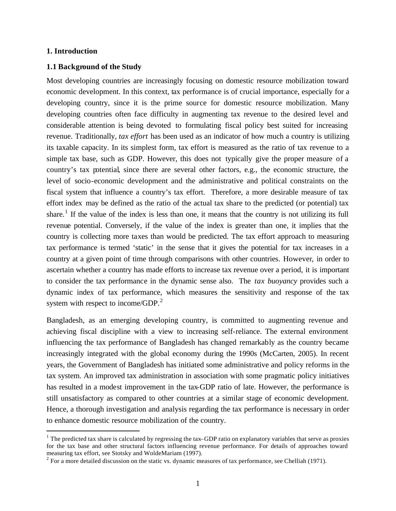#### **1. Introduction**

 $\overline{a}$ 

#### **1.1 Background of the Study**

Most developing countries are increasingly focusing on domestic resource mobilization toward economic development. In this context, tax performance is of crucial importance, especially for a developing country, since it is the prime source for domestic resource mobilization. Many developing countries often face difficulty in augmenting tax revenue to the desired level and considerable attention is being devoted to formulating fiscal policy best suited for increasing revenue. Traditionally, *tax effort* has been used as an indicator of how much a country is utilizing its taxable capacity. In its simplest form, tax effort is measured as the ratio of tax revenue to a simple tax base, such as GDP. However, this does not typically give the proper measure of a country's tax potential, since there are several other factors, e.g., the economic structure, the level of socio-economic development and the administrative and political constraints on the fiscal system that influence a country's tax effort. Therefore, a more desirable measure of tax effort index may be defined as the ratio of the actual tax share to the predicted (or potential) tax share.<sup>1</sup> If the value of the index is less than one, it means that the country is not utilizing its full revenue potential. Conversely, if the value of the index is greater than one, it implies that the country is collecting more taxes than would be predicted. The tax effort approach to measuring tax performance is termed 'static' in the sense that it gives the potential for tax increases in a country at a given point of time through comparisons with other countries. However, in order to ascertain whether a country has made efforts to increase tax revenue over a period, it is important to consider the tax performance in the dynamic sense also. The *tax buoyancy* provides such a dynamic index of tax performance, which measures the sensitivity and response of the tax system with respect to income/GDP.<sup>2</sup>

Bangladesh, as an emerging developing country, is committed to augmenting revenue and achieving fiscal discipline with a view to increasing self-reliance. The external environment influencing the tax performance of Bangladesh has changed remarkably as the country became increasingly integrated with the global economy during the 1990s (McCarten, 2005). In recent years, the Government of Bangladesh has initiated some administrative and policy reforms in the tax system. An improved tax administration in association with some pragmatic policy initiatives has resulted in a modest improvement in the tax-GDP ratio of late. However, the performance is still unsatisfactory as compared to other countries at a similar stage of economic development. Hence, a thorough investigation and analysis regarding the tax performance is necessary in order to enhance domestic resource mobilization of the country.

 $<sup>1</sup>$  The predicted tax share is calculated by regressing the tax–GDP ratio on explanatory variables that serve as proxies</sup> for the tax base and other structural factors influencing revenue performance. For details of approaches toward measuring tax effort, see Stotsky and WoldeMariam (1997).

 $2^2$  For a more detailed discussion on the static vs. dynamic measures of tax performance, see Chelliah (1971).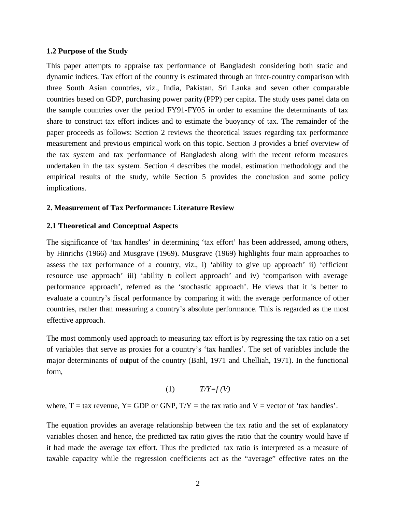#### **1.2 Purpose of the Study**

This paper attempts to appraise tax performance of Bangladesh considering both static and dynamic indices. Tax effort of the country is estimated through an inter-country comparison with three South Asian countries, viz., India, Pakistan, Sri Lanka and seven other comparable countries based on GDP, purchasing power parity (PPP) per capita. The study uses panel data on the sample countries over the period FY91-FY05 in order to examine the determinants of tax share to construct tax effort indices and to estimate the buoyancy of tax. The remainder of the paper proceeds as follows: Section 2 reviews the theoretical issues regarding tax performance measurement and previous empirical work on this topic. Section 3 provides a brief overview of the tax system and tax performance of Bangladesh along with the recent reform measures undertaken in the tax system. Section 4 describes the model, estimation methodology and the empirical results of the study, while Section 5 provides the conclusion and some policy implications.

#### **2. Measurement of Tax Performance: Literature Review**

#### **2.1 Theoretical and Conceptual Aspects**

The significance of 'tax handles' in determining 'tax effort' has been addressed, among others, by Hinrichs (1966) and Musgrave (1969). Musgrave (1969) highlights four main approaches to assess the tax performance of a country, viz., i) 'ability to give up approach' ii) 'efficient resource use approach' iii) 'ability to collect approach' and iv) 'comparison with average performance approach', referred as the 'stochastic approach'. He views that it is better to evaluate a country's fiscal performance by comparing it with the average performance of other countries, rather than measuring a country's absolute performance. This is regarded as the most effective approach.

The most commonly used approach to measuring tax effort is by regressing the tax ratio on a set of variables that serve as proxies for a country's 'tax handles'. The set of variables include the major determinants of output of the country (Bahl, 1971 and Chelliah, 1971). In the functional form,

$$
(1) \tT/Y=f(V)
$$

where,  $T = \text{tax revenue}$ ,  $Y = GDP$  or  $GNP$ ,  $T/Y = \text{the tax ratio and } V = \text{vector of 'tax handles'.}$ 

The equation provides an average relationship between the tax ratio and the set of explanatory variables chosen and hence, the predicted tax ratio gives the ratio that the country would have if it had made the average tax effort. Thus the predicted tax ratio is interpreted as a measure of taxable capacity while the regression coefficients act as the "average" effective rates on the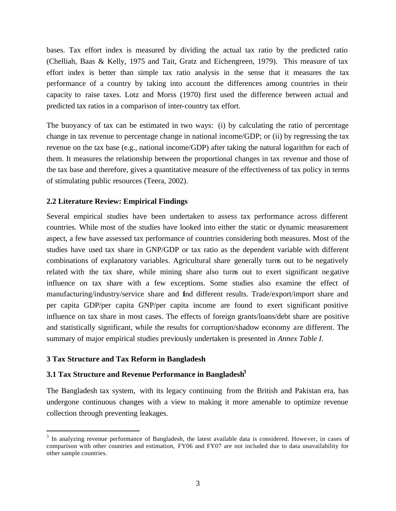bases. Tax effort index is measured by dividing the actual tax ratio by the predicted ratio (Chelliah, Baas & Kelly, 1975 and Tait, Gratz and Eichengreen, 1979). This measure of tax effort index is better than simple tax ratio analysis in the sense that it measures the tax performance of a country by taking into account the differences among countries in their capacity to raise taxes. Lotz and Morss (1970) first used the difference between actual and predicted tax ratios in a comparison of inter-country tax effort.

The buoyancy of tax can be estimated in two ways: (i) by calculating the ratio of percentage change in tax revenue to percentage change in national income/GDP; or (ii) by regressing the tax revenue on the tax base (e.g., national income/GDP) after taking the natural logarithm for each of them. It measures the relationship between the proportional changes in tax revenue and those of the tax base and therefore, gives a quantitative measure of the effectiveness of tax policy in terms of stimulating public resources (Teera, 2002).

## **2.2 Literature Review: Empirical Findings**

Several empirical studies have been undertaken to assess tax performance across different countries. While most of the studies have looked into either the static or dynamic measurement aspect, a few have assessed tax performance of countries considering both measures. Most of the studies have used tax share in GNP/GDP or tax ratio as the dependent variable with different combinations of explanatory variables. Agricultural share generally turns out to be negatively related with the tax share, while mining share also turns out to exert significant negative influence on tax share with a few exceptions. Some studies also examine the effect of manufacturing/industry/service share and find different results. Trade/export/import share and per capita GDP/per capita GNP/per capita income are found to exert significant positive influence on tax share in most cases. The effects of foreign grants/loans/debt share are positive and statistically significant, while the results for corruption/shadow economy are different. The summary of major empirical studies previously undertaken is presented in *Annex Table I*.

## **3 Tax Structure and Tax Reform in Bangladesh**

 $\overline{a}$ 

## **3.1 Tax Structure and Revenue Performance in Bangladesh<sup>3</sup>**

The Bangladesh tax system, with its legacy continuing from the British and Pakistan era, has undergone continuous changes with a view to making it more amenable to optimize revenue collection through preventing leakages.

 $3$  In analyzing revenue performance of Bangladesh, the latest available data is considered. However, in cases of comparison with other countries and estimation, FY06 and FY07 are not included due to data unavailability for other sample countries.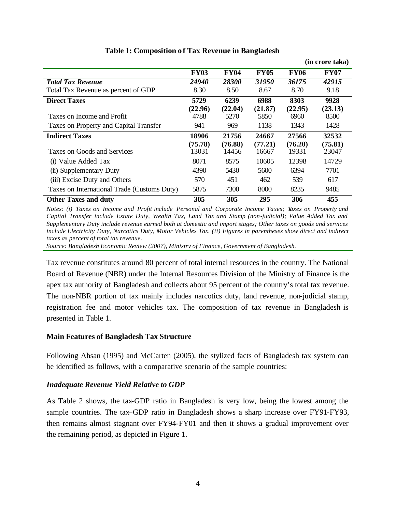|                                             |                  |                  |                  |                  | (in crore taka)  |
|---------------------------------------------|------------------|------------------|------------------|------------------|------------------|
|                                             | <b>FY03</b>      | <b>FY04</b>      | <b>FY05</b>      | <b>FY06</b>      | <b>FY07</b>      |
| <b>Total Tax Revenue</b>                    | 24940            | 28300            | 31950            | 36175            | 42915            |
| Total Tax Revenue as percent of GDP         | 8.30             | 8.50             | 8.67             | 8.70             | 9.18             |
| <b>Direct Taxes</b>                         | 5729             | 6239             | 6988             | 8303             | 9928             |
| Taxes on Income and Profit                  | (22.96)<br>4788  | (22.04)<br>5270  | (21.87)<br>5850  | (22.95)<br>6960  | (23.13)<br>8500  |
| Taxes on Property and Capital Transfer      | 941              | 969              | 1138             | 1343             | 1428             |
| <b>Indirect Taxes</b>                       | 18906            | 21756            | 24667            | 27566            | 32532            |
| Taxes on Goods and Services                 | (75.78)<br>13031 | (76.88)<br>14456 | (77.21)<br>16667 | (76.20)<br>19331 | (75.81)<br>23047 |
| (i) Value Added Tax                         | 8071             | 8575             | 10605            | 12398            | 14729            |
| (ii) Supplementary Duty                     | 4390             | 5430             | 5600             | 6394             | 7701             |
| (iii) Excise Duty and Others                | 570              | 451              | 462              | 539              | 617              |
| Taxes on International Trade (Customs Duty) | 5875             | 7300             | 8000             | 8235             | 9485             |
| <b>Other Taxes and duty</b>                 | 305              | 305              | 295              | 306              | 455              |

# **Table 1: Composition o f Tax Revenue in Bangladesh**

*Notes: (i) Taxes on Income and Profit include Personal and Corporate Income Taxes; Taxes on Property and Capital Transfer include Estate Duty, Wealth Tax, Land Tax and Stamp (non-judicial); Value Added Tax and Supplementary Duty include revenue earned both at domestic and import stages; Other taxes on goods and services include Electricity Duty, Narcotics Duty, Motor Vehicles Tax. (ii) Figures in parentheses show direct and indirect taxes as percent of total tax revenue.*

*Source: Bangladesh Economic Review (2007), Ministry of Finance, Government of Bangladesh.*

Tax revenue constitutes around 80 percent of total internal resources in the country. The National Board of Revenue (NBR) under the Internal Resources Division of the Ministry of Finance is the apex tax authority of Bangladesh and collects about 95 percent of the country's total tax revenue. The non-NBR portion of tax mainly includes narcotics duty, land revenue, non-judicial stamp, registration fee and motor vehicles tax. The composition of tax revenue in Bangladesh is presented in Table 1.

## **Main Features of Bangladesh Tax Structure**

Following Ahsan (1995) and McCarten (2005), the stylized facts of Bangladesh tax system can be identified as follows, with a comparative scenario of the sample countries:

## *Inadequate Revenue Yield Relative to GDP*

As Table 2 shows, the tax-GDP ratio in Bangladesh is very low, being the lowest among the sample countries. The tax–GDP ratio in Bangladesh shows a sharp increase over FY91-FY93, then remains almost stagnant over FY94-FY01 and then it shows a gradual improvement over the remaining period, as depicted in Figure 1.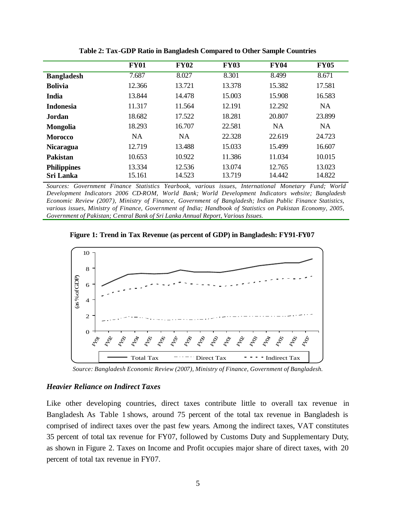|                    | <b>FY01</b> | <b>FY02</b> | <b>FY03</b> | <b>FY04</b> | <b>FY05</b> |
|--------------------|-------------|-------------|-------------|-------------|-------------|
| <b>Bangladesh</b>  | 7.687       | 8.027       | 8.301       | 8.499       | 8.671       |
| <b>Bolivia</b>     | 12.366      | 13.721      | 13.378      | 15.382      | 17.581      |
| <b>India</b>       | 13.844      | 14.478      | 15.003      | 15.908      | 16.583      |
| <b>Indonesia</b>   | 11.317      | 11.564      | 12.191      | 12.292      | <b>NA</b>   |
| Jordan             | 18.682      | 17.522      | 18.281      | 20.807      | 23.899      |
| <b>Mongolia</b>    | 18.293      | 16.707      | 22.581      | <b>NA</b>   | <b>NA</b>   |
| <b>Morocco</b>     | <b>NA</b>   | <b>NA</b>   | 22.328      | 22.619      | 24.723      |
| <b>Nicaragua</b>   | 12.719      | 13.488      | 15.033      | 15.499      | 16.607      |
| <b>Pakistan</b>    | 10.653      | 10.922      | 11.386      | 11.034      | 10.015      |
| <b>Philippines</b> | 13.334      | 12.536      | 13.074      | 12.765      | 13.023      |
| <b>Sri Lanka</b>   | 15.161      | 14.523      | 13.719      | 14.442      | 14.822      |

**Table 2: Tax-GDP Ratio in Bangladesh Compared to Other Sample Countries**

*Sources: Government Finance Statistics Yearbook, various issues, International Monetary Fund; World Development Indicators 2006 CD-ROM, World Bank; World Development Indicators website; Bangladesh Economic Review (2007), Ministry of Finance, Government of Bangladesh; Indian Public Finance Statistics, various issues, Ministry of Finance, Government of India; Handbook of Statistics on Pakistan Economy, 2005, Government of Pakistan; Central Bank of Sri Lanka Annual Report, Various Issues.*

**Figure 1: Trend in Tax Revenue (as percent of GDP) in Bangladesh: FY91-FY07**



 *Source: Bangladesh Economic Review (2007), Ministry of Finance, Government of Bangladesh.*

#### *Heavier Reliance on Indirect Taxes*

Like other developing countries, direct taxes contribute little to overall tax revenue in Bangladesh. As Table 1 shows, around 75 percent of the total tax revenue in Bangladesh is comprised of indirect taxes over the past few years. Among the indirect taxes, VAT constitutes 35 percent of total tax revenue for FY07, followed by Customs Duty and Supplementary Duty, as shown in Figure 2. Taxes on Income and Profit occupies major share of direct taxes, with 20 percent of total tax revenue in FY07.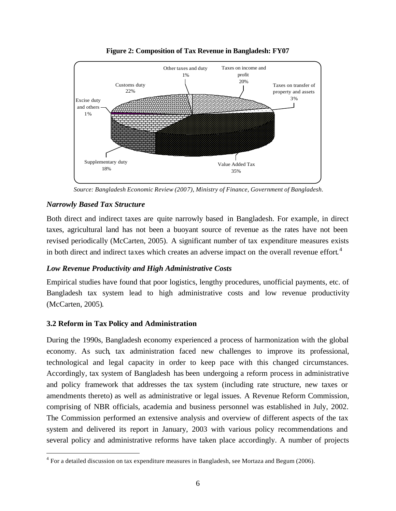

**Figure 2: Composition of Tax Revenue in Bangladesh: FY07**

 *Source: Bangladesh Economic Review (2007), Ministry of Finance, Government of Bangladesh.*

## *Narrowly Based Tax Structure*

 $\overline{a}$ 

Both direct and indirect taxes are quite narrowly based in Bangladesh. For example, in direct taxes, agricultural land has not been a buoyant source of revenue as the rates have not been revised periodically (McCarten, 2005). A significant number of tax expenditure measures exists in both direct and indirect taxes which creates an adverse impact on the overall revenue effort.<sup>4</sup>

## *Low Revenue Productivity and High Administrative Costs*

Empirical studies have found that poor logistics, lengthy procedures, unofficial payments, etc. of Bangladesh tax system lead to high administrative costs and low revenue productivity (McCarten, 2005).

## **3.2 Reform in Tax Policy and Administration**

During the 1990s, Bangladesh economy experienced a process of harmonization with the global economy. As such, tax administration faced new challenges to improve its professional, technological and legal capacity in order to keep pace with this changed circumstances. Accordingly, tax system of Bangladesh has been undergoing a reform process in administrative and policy framework that addresses the tax system (including rate structure, new taxes or amendments thereto) as well as administrative or legal issues. A Revenue Reform Commission, comprising of NBR officials, academia and business personnel was established in July, 2002. The Commission performed an extensive analysis and overview of different aspects of the tax system and delivered its report in January, 2003 with various policy recommendations and several policy and administrative reforms have taken place accordingly. A number of projects

 $4$  For a detailed discussion on tax expenditure measures in Bangladesh, see Mortaza and Begum (2006).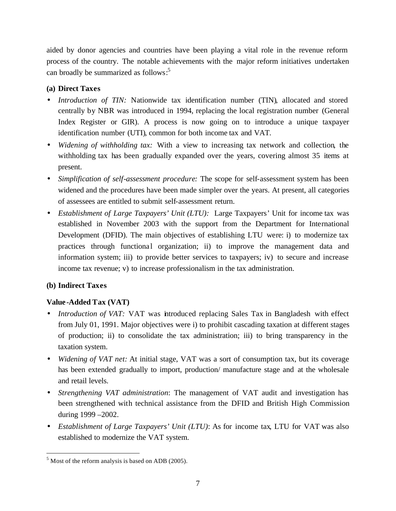aided by donor agencies and countries have been playing a vital role in the revenue reform process of the country. The notable achievements with the major reform initiatives undertaken can broadly be summarized as follows: 5

## **(a) Direct Taxes**

- Introduction of TIN: Nationwide tax identification number (TIN), allocated and stored centrally by NBR was introduced in 1994, replacing the local registration number (General Index Register or GIR). A process is now going on to introduce a unique taxpayer identification number (UTI), common for both income tax and VAT.
- *Widening of withholding tax:* With a view to increasing tax network and collection, the withholding tax has been gradually expanded over the years, covering almost 35 items at present.
- *Simplification of self-assessment procedure:* The scope for self-assessment system has been widened and the procedures have been made simpler over the years. At present, all categories of assessees are entitled to submit self-assessment return.
- *Establishment of Large Taxpayers' Unit (LTU):* Large Taxpayers' Unit for income tax was established in November 2003 with the support from the Department for International Development (DFID). The main objectives of establishing LTU were: i) to modernize tax practices through functional organization; ii) to improve the management data and information system; iii) to provide better services to taxpayers; iv) to secure and increase income tax revenue; v) to increase professionalism in the tax administration.

# **(b) Indirect Taxes**

 $\overline{a}$ 

# **Value -Added Tax (VAT)**

- *Introduction of VAT:* VAT was introduced replacing Sales Tax in Bangladesh with effect from July 01, 1991. Major objectives were i) to prohibit cascading taxation at different stages of production; ii) to consolidate the tax administration; iii) to bring transparency in the taxation system.
- *Widening of VAT net:* At initial stage, VAT was a sort of consumption tax, but its coverage has been extended gradually to import, production/ manufacture stage and at the wholesale and retail levels.
- *Strengthening VAT administration*: The management of VAT audit and investigation has been strengthened with technical assistance from the DFID and British High Commission during 1999 –2002.
- *Establishment of Large Taxpayers' Unit (LTU)*: As for income tax, LTU for VAT was also established to modernize the VAT system.

 $<sup>5</sup>$  Most of the reform analysis is based on ADB (2005).</sup>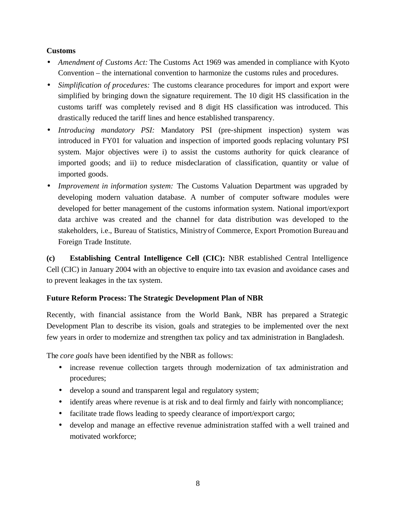## **Customs**

- *Amendment of Customs Act:* The Customs Act 1969 was amended in compliance with Kyoto Convention – the international convention to harmonize the customs rules and procedures.
- *Simplification of procedures:* The customs clearance procedures for import and export were simplified by bringing down the signature requirement. The 10 digit HS classification in the customs tariff was completely revised and 8 digit HS classification was introduced. This drastically reduced the tariff lines and hence established transparency.
- *Introducing mandatory PSI:* Mandatory PSI (pre-shipment inspection) system was introduced in FY01 for valuation and inspection of imported goods replacing voluntary PSI system. Major objectives were i) to assist the customs authority for quick clearance of imported goods; and ii) to reduce misdeclaration of classification, quantity or value of imported goods.
- *Improvement in information system:* The Customs Valuation Department was upgraded by developing modern valuation database. A number of computer software modules were developed for better management of the customs information system. National import/export data archive was created and the channel for data distribution was developed to the stakeholders, i.e., Bureau of Statistics, Ministry of Commerce, Export Promotion Bureau and Foreign Trade Institute.

**(c) Establishing Central Intelligence Cell (CIC):** NBR established Central Intelligence Cell (CIC) in January 2004 with an objective to enquire into tax evasion and avoidance cases and to prevent leakages in the tax system.

## **Future Reform Process: The Strategic Development Plan of NBR**

Recently, with financial assistance from the World Bank, NBR has prepared a Strategic Development Plan to describe its vision, goals and strategies to be implemented over the next few years in order to modernize and strengthen tax policy and tax administration in Bangladesh.

The *core goals* have been identified by the NBR as follows:

- increase revenue collection targets through modernization of tax administration and procedures;
- develop a sound and transparent legal and regulatory system;
- identify areas where revenue is at risk and to deal firmly and fairly with noncompliance;
- facilitate trade flows leading to speedy clearance of import/export cargo;
- develop and manage an effective revenue administration staffed with a well trained and motivated workforce;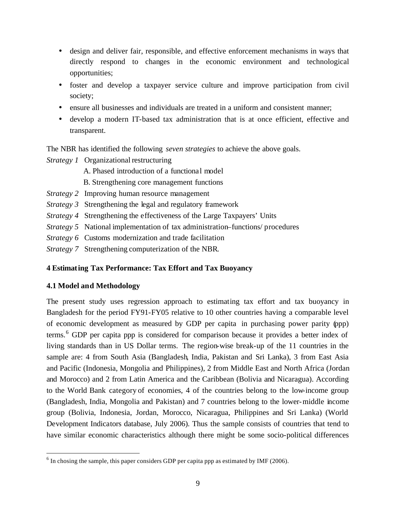- design and deliver fair, responsible, and effective enforcement mechanisms in ways that directly respond to changes in the economic environment and technological opportunities;
- foster and develop a taxpayer service culture and improve participation from civil society;
- ensure all businesses and individuals are treated in a uniform and consistent manner;
- develop a modern IT-based tax administration that is at once efficient, effective and transparent.

The NBR has identified the following *seven strategies* to achieve the above goals.

*Strategy 1* Organizational restructuring

- A. Phased introduction of a functional model
- B. Strengthening core management functions
- *Strategy 2* Improving human resource management
- *Strategy 3* Strengthening the legal and regulatory framework
- *Strategy 4* Strengthening the effectiveness of the Large Taxpayers' Units
- *Strategy 5* National implementation of tax administration–functions/ procedures
- *Strategy 6* Customs modernization and trade facilitation
- *Strategy 7* Strengthening computerization of the NBR.

# **4 Estimating Tax Performance: Tax Effort and Tax Buoyancy**

# **4.1 Model and Methodology**

 $\overline{a}$ 

The present study uses regression approach to estimating tax effort and tax buoyancy in Bangladesh for the period FY91-FY05 relative to 10 other countries having a comparable level of economic development as measured by GDP per capita in purchasing power parity (ppp) terms.<sup>6</sup> GDP per capita ppp is considered for comparison because it provides a better index of living standards than in US Dollar terms. The region-wise break-up of the 11 countries in the sample are: 4 from South Asia (Bangladesh, India, Pakistan and Sri Lanka), 3 from East Asia and Pacific (Indonesia, Mongolia and Philippines), 2 from Middle East and North Africa (Jordan and Morocco) and 2 from Latin America and the Caribbean (Bolivia and Nicaragua). According to the World Bank category of economies, 4 of the countries belong to the low-income group (Bangladesh, India, Mongolia and Pakistan) and 7 countries belong to the lower-middle income group (Bolivia, Indonesia, Jordan, Morocco, Nicaragua, Philippines and Sri Lanka) (World Development Indicators database, July 2006). Thus the sample consists of countries that tend to have similar economic characteristics although there might be some socio-political differences

 $<sup>6</sup>$  In chosing the sample, this paper considers GDP per capita ppp as estimated by IMF (2006).</sup>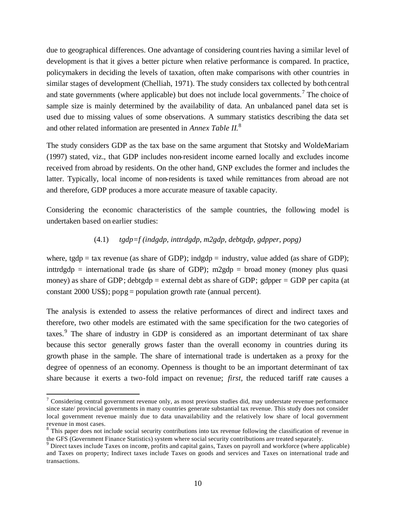due to geographical differences. One advantage of considering countries having a similar level of development is that it gives a better picture when relative performance is compared. In practice, policymakers in deciding the levels of taxation, often make comparisons with other countries in similar stages of development (Chelliah, 1971). The study considers tax collected by both central and state governments (where applicable) but does not include local governments.<sup>7</sup> The choice of sample size is mainly determined by the availability of data. An unbalanced panel data set is used due to missing values of some observations. A summary statistics describing the data set and other related information are presented in *Annex Table II*. 8

The study considers GDP as the tax base on the same argument that Stotsky and WoldeMariam (1997) stated, viz., that GDP includes non-resident income earned locally and excludes income received from abroad by residents. On the other hand, GNP excludes the former and includes the latter. Typically, local income of non-residents is taxed while remittances from abroad are not and therefore, GDP produces a more accurate measure of taxable capacity.

Considering the economic characteristics of the sample countries, the following model is undertaken based on earlier studies:

## (4.1) *tgdp=f (indgdp, inttrdgdp, m2gdp, debtgdp, gdpper, popg)*

where, tgdp = tax revenue (as share of GDP); indgdp = industry, value added (as share of GDP); inttrdgdp = international trade (as share of GDP); m2gdp = broad money (money plus quasi money) as share of GDP; debtgdp = external debt as share of GDP; gdpper = GDP per capita (at constant 2000 US\$); popg = population growth rate (annual percent).

The analysis is extended to assess the relative performances of direct and indirect taxes and therefore, two other models are estimated with the same specification for the two categories of taxes.<sup>9</sup> The share of industry in GDP is considered as an important determinant of tax share because this sector generally grows faster than the overall economy in countries during its growth phase in the sample. The share of international trade is undertaken as a proxy for the degree of openness of an economy. Openness is thought to be an important determinant of tax share because it exerts a two-fold impact on revenue; *first,* the reduced tariff rate causes a

 $\overline{a}$ 

<sup>&</sup>lt;sup>7</sup> Considering central government revenue only, as most previous studies did, may understate revenue performance since state/ provincial governments in many countries generate substantial tax revenue. This study does not consider local government revenue mainly due to data unavailability and the relatively low share of local government revenue in most cases.

<sup>&</sup>lt;sup>8</sup> This paper does not include social security contributions into tax revenue following the classification of revenue in the GFS (Government Finance Statistics) system where social security contributions are treated separately.

<sup>&</sup>lt;sup>9</sup> Direct taxes include Taxes on income, profits and capital gains, Taxes on payroll and workforce (where applicable) and Taxes on property; Indirect taxes include Taxes on goods and services and Taxes on international trade and transactions.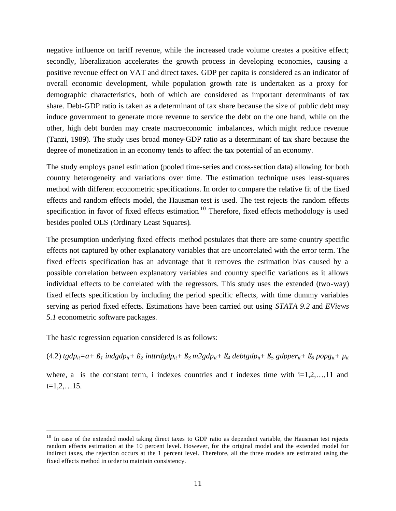negative influence on tariff revenue, while the increased trade volume creates a positive effect; secondly, liberalization accelerates the growth process in developing economies, causing a positive revenue effect on VAT and direct taxes. GDP per capita is considered as an indicator of overall economic development, while population growth rate is undertaken as a proxy for demographic characteristics, both of which are considered as important determinants of tax share. Debt-GDP ratio is taken as a determinant of tax share because the size of public debt may induce government to generate more revenue to service the debt on the one hand, while on the other, high debt burden may create macroeconomic imbalances, which might reduce revenue (Tanzi, 1989). The study uses broad money-GDP ratio as a determinant of tax share because the degree of monetization in an economy tends to affect the tax potential of an economy.

The study employs panel estimation (pooled time-series and cross-section data) allowing for both country heterogeneity and variations over time. The estimation technique uses least-squares method with different econometric specifications. In order to compare the relative fit of the fixed effects and random effects model, the Hausman test is used. The test rejects the random effects specification in favor of fixed effects estimation.<sup>10</sup> Therefore, fixed effects methodology is used besides pooled OLS (Ordinary Least Squares).

The presumption underlying fixed effects method postulates that there are some country specific effects not captured by other explanatory variables that are uncorrelated with the error term. The fixed effects specification has an advantage that it removes the estimation bias caused by a possible correlation between explanatory variables and country specific variations as it allows individual effects to be correlated with the regressors. This study uses the extended (two-way) fixed effects specification by including the period specific effects, with time dummy variables serving as period fixed effects. Estimations have been carried out using *STATA 9.2* and *EViews 5.1* econometric software packages.

The basic regression equation considered is as follows:

 $\overline{a}$ 

(4.2)  $tgdp_{it}=a+\beta_1$  indgdp<sub>it</sub> +  $\beta_2$  inttrdgdp<sub>it</sub> +  $\beta_3$  m2gdp<sub>it</sub> +  $\beta_4$  debtgdp<sub>it</sub> +  $\beta_5$  gdpper<sub>it</sub> +  $\beta_6$  popg<sub>it</sub> +  $\mu_{it}$ 

where, a is the constant term, i indexes countries and t indexes time with  $i=1,2,...,11$  and  $t=1,2,...15$ .

 $10$  In case of the extended model taking direct taxes to GDP ratio as dependent variable, the Hausman test rejects random effects estimation at the 10 percent level. However, for the original model and the extended model for indirect taxes, the rejection occurs at the 1 percent level. Therefore, all the three models are estimated using the fixed effects method in order to maintain consistency.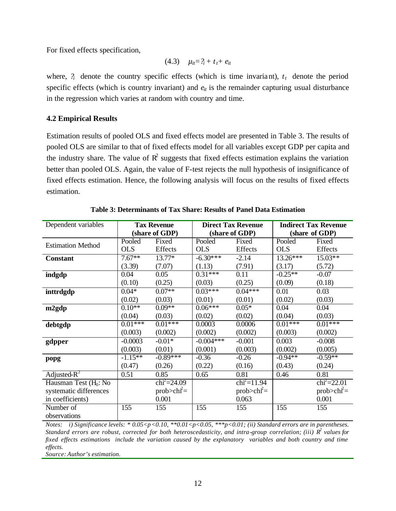For fixed effects specification,

$$
(4.3) \quad \mu_{it} = ?_i + t_t + e_{it}
$$

where,  $\hat{r}_i$  denote the country specific effects (which is time invariant),  $t_t$  denote the period specific effects (which is country invariant) and  $e_{it}$  is the remainder capturing usual disturbance in the regression which varies at random with country and time.

## **4.2 Empirical Results**

Estimation results of pooled OLS and fixed effects model are presented in Table 3. The results of pooled OLS are similar to that of fixed effects model for all variables except GDP per capita and the industry share. The value of  $\mathbb{R}^2$  suggests that fixed effects estimation explains the variation better than pooled OLS. Again, the value of F-test rejects the null hypothesis of insignificance of fixed effects estimation. Hence, the following analysis will focus on the results of fixed effects estimation.

| Dependent variables      |                  | <b>Tax Revenue</b>     |                  | <b>Direct Tax Revenue</b> | <b>Indirect Tax Revenue</b> |                        |  |
|--------------------------|------------------|------------------------|------------------|---------------------------|-----------------------------|------------------------|--|
|                          |                  | (share of GDP)         |                  | (share of GDP)            | (share of GDP)              |                        |  |
| <b>Estimation Method</b> | Pooled           | Fixed                  | Pooled           | Fixed                     | Pooled                      | Fixed                  |  |
|                          | <b>OLS</b>       | Effects                | <b>OLS</b>       | Effects                   | <b>OLS</b>                  | Effects                |  |
| <b>Constant</b>          | $7.67**$         | $13.77*$               | $-6.30***$       | $-2.14$                   | $13.26***$                  | $15.03**$              |  |
|                          | (3.39)           | (7.07)                 | (1.13)           | (7.91)                    | (3.17)                      | (5.72)                 |  |
| indgdp                   | 0.04             | 0.05                   | $0.31***$        | 0.11                      | $-0.25**$                   | $-0.07$                |  |
|                          | (0.10)           | (0.25)                 | (0.03)           | (0.25)                    | (0.09)                      | (0.18)                 |  |
| inttrdgdp                | $0.04*$          | $0.07**$               | $0.03***$        | $0.04***$                 | 0.01                        | 0.03                   |  |
|                          | (0.02)           | (0.03)                 | (0.01)           | (0.01)                    | (0.02)                      | (0.03)                 |  |
| m2gdp                    | $0.10**$         | $0.09**$               | $0.06***$        | $0.05*$                   | 0.04                        | 0.04                   |  |
|                          | (0.04)           | (0.03)                 | (0.02)           | (0.02)                    | (0.04)                      | (0.03)                 |  |
| debtgdp                  | $0.01***$        | $0.01***$              | 0.0003           | 0.0006                    | $0.01***$                   | $0.01***$              |  |
|                          | (0.003)          | (0.002)                | (0.002)          | (0.002)                   | (0.003)                     | (0.002)                |  |
| gdpper                   | $-0.0003$        | $-0.01*$               | $-0.004***$      | $-0.001$                  | 0.003                       | $-0.008$               |  |
|                          | (0.003)          | (0.01)                 | (0.001)          | (0.003)                   | (0.002)                     | (0.005)                |  |
| popg                     | $-1.15**$        | $-0.89***$             | $-0.36$          | $-0.26$                   | $-0.94**$                   | $-0.59**$              |  |
|                          | (0.47)           | (0.26)                 | (0.22)           | (0.16)                    | (0.43)                      | (0.24)                 |  |
| Adjusted- $R^2$          | 0.51             | 0.85                   | 0.65             | 0.81                      | 0.46                        | 0.81                   |  |
| Hausman Test $(H_0: No)$ |                  | $\text{chi}^2 = 24.09$ |                  | $\text{chi}^2 = 11.94$    |                             | $\text{chi}^2 = 22.01$ |  |
| systematic differences   |                  | $prob > ch2 =$         |                  | $prob > ch2 =$            |                             | $prob > ch2 =$         |  |
| in coefficients)         |                  | 0.001                  |                  | 0.063                     |                             | 0.001                  |  |
| Number of                | $\overline{155}$ | 155                    | $\overline{155}$ | 155                       | 155                         | 155                    |  |
| observations             |                  |                        |                  |                           |                             |                        |  |

| Table 3: Determinants of Tax Share: Results of Panel Data Estimation |
|----------------------------------------------------------------------|
|----------------------------------------------------------------------|

*Notes: i) Significance levels: \* 0.05<p<0.10, \*\*0.01<p<0.05, \*\*\*p<0.01; (ii) Standard errors are in parentheses. Standard errors are robust, corrected for both heteroscedasticity, and intra-group correlation; (iii) R<sup>2</sup>values for fixed effects estimations include the variation caused by the explanatory variables and both country and time effects.*

*Source: Author's estimation.*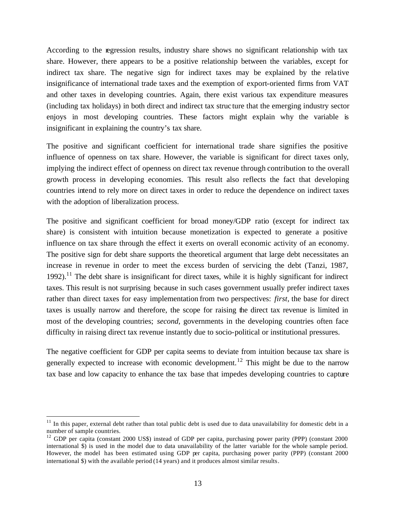According to the regression results, industry share shows no significant relationship with tax share. However, there appears to be a positive relationship between the variables, except for indirect tax share. The negative sign for indirect taxes may be explained by the relative insignificance of international trade taxes and the exemption of export-oriented firms from VAT and other taxes in developing countries. Again, there exist various tax expenditure measures (including tax holidays) in both direct and indirect tax struc ture that the emerging industry sector enjoys in most developing countries. These factors might explain why the variable is insignificant in explaining the country's tax share.

The positive and significant coefficient for international trade share signifies the positive influence of openness on tax share. However, the variable is significant for direct taxes only, implying the indirect effect of openness on direct tax revenue through contribution to the overall growth process in developing economies. This result also reflects the fact that developing countries intend to rely more on direct taxes in order to reduce the dependence on indirect taxes with the adoption of liberalization process.

The positive and significant coefficient for broad money/GDP ratio (except for indirect tax share) is consistent with intuition because monetization is expected to generate a positive influence on tax share through the effect it exerts on overall economic activity of an economy. The positive sign for debt share supports the theoretical argument that large debt necessitates an increase in revenue in order to meet the excess burden of servicing the debt (Tanzi, 1987, 1992).<sup>11</sup> The debt share is insignificant for direct taxes, while it is highly significant for indirect taxes. This result is not surprising because in such cases government usually prefer indirect taxes rather than direct taxes for easy implementation from two perspectives: *first,* the base for direct taxes is usually narrow and therefore, the scope for raising the direct tax revenue is limited in most of the developing countries; *second,* governments in the developing countries often face difficulty in raising direct tax revenue instantly due to socio-political or institutional pressures.

The negative coefficient for GDP per capita seems to deviate from intuition because tax share is generally expected to increase with economic development.<sup>12</sup> This might be due to the narrow tax base and low capacity to enhance the tax base that impedes developing countries to capture

 $\overline{a}$ 

 $11$  In this paper, external debt rather than total public debt is used due to data unavailability for domestic debt in a number of sample countries.

<sup>&</sup>lt;sup>12</sup> GDP per capita (constant 2000 US\$) instead of GDP per capita, purchasing power parity (PPP) (constant 2000 international \$) is used in the model due to data unavailability of the latter variable for the whole sample period. However, the model has been estimated using GDP per capita, purchasing power parity (PPP) (constant 2000 international \$) with the available period (14 years) and it produces almost similar results.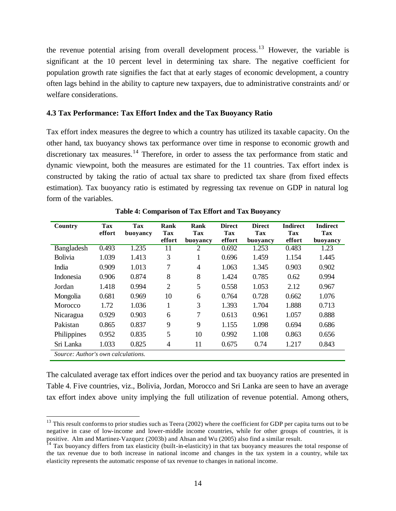the revenue potential arising from overall development process.<sup>13</sup> However, the variable is significant at the 10 percent level in determining tax share. The negative coefficient for population growth rate signifies the fact that at early stages of economic development, a country often lags behind in the ability to capture new taxpayers, due to administrative constraints and/ or welfare considerations.

## **4.3 Tax Performance: Tax Effort Index and the Tax Buoyancy Ratio**

Tax effort index measures the degree to which a country has utilized its taxable capacity. On the other hand, tax buoyancy shows tax performance over time in response to economic growth and discretionary tax measures.<sup>14</sup> Therefore, in order to assess the tax performance from static and dynamic viewpoint, both the measures are estimated for the 11 countries. Tax effort index is constructed by taking the ratio of actual tax share to predicted tax share (from fixed effects estimation). Tax buoyancy ratio is estimated by regressing tax revenue on GDP in natural log form of the variables.

| Country                            | Tax<br>effort | Tax<br>buoyancy | Rank<br>Tax    | <b>Rank</b><br>Tax | <b>Direct</b><br>Tax | <b>Direct</b><br>Tax |        | <b>Indirect</b><br>Tax |
|------------------------------------|---------------|-----------------|----------------|--------------------|----------------------|----------------------|--------|------------------------|
|                                    |               |                 | effort         | buoyancy           | effort               | buoyancy             | effort | buoyancy               |
| Bangladesh                         | 0.493         | 1.235           | 11             | 2                  | 0.692                | 1.253                | 0.483  | 1.23                   |
| Bolivia                            | 1.039         | 1.413           | 3              | 1                  | 0.696                | 1.459                | 1.154  | 1.445                  |
| India                              | 0.909         | 1.013           | 7              | 4                  | 1.063                | 1.345                | 0.903  | 0.902                  |
| Indonesia                          | 0.906         | 0.874           | 8              | 8                  | 1.424                | 0.785                | 0.62   | 0.994                  |
| Jordan                             | 1.418         | 0.994           | $\overline{2}$ | 5                  | 0.558                | 1.053                | 2.12   | 0.967                  |
| Mongolia                           | 0.681         | 0.969           | 10             | 6                  | 0.764                | 0.728                | 0.662  | 1.076                  |
| Morocco                            | 1.72          | 1.036           |                | 3                  | 1.393                | 1.704                | 1.888  | 0.713                  |
| Nicaragua                          | 0.929         | 0.903           | 6              | 7                  | 0.613                | 0.961                | 1.057  | 0.888                  |
| Pakistan                           | 0.865         | 0.837           | 9              | 9                  | 1.155                | 1.098                | 0.694  | 0.686                  |
| Philippines                        | 0.952         | 0.835           | 5              | 10                 | 0.992                | 1.108                | 0.863  | 0.656                  |
| Sri Lanka                          | 1.033         | 0.825           | $\overline{4}$ | 11                 | 0.675                | 0.74                 | 1.217  | 0.843                  |
| Source: Author's own calculations. |               |                 |                |                    |                      |                      |        |                        |

**Table 4: Comparison of Tax Effort and Tax Buoyancy**

The calculated average tax effort indices over the period and tax buoyancy ratios are presented in Table 4. Five countries, viz., Bolivia, Jordan, Morocco and Sri Lanka are seen to have an average tax effort index above unity implying the full utilization of revenue potential. Among others,

 $\overline{a}$ 

 $13$  This result conforms to prior studies such as Teera (2002) where the coefficient for GDP per capita turns out to be negative in case of low-income and lower-middle income countries, while for other groups of countries, it is positive. Alm and Martinez-Vazquez (2003b) and Ahsan and Wu (2005) also find a similar result.

 $14$  Tax buoyancy differs from tax elasticity (built-in-elasticity) in that tax buoyancy measures the total response of the tax revenue due to both increase in national income and changes in the tax system in a country, while tax elasticity represents the automatic response of tax revenue to changes in national income.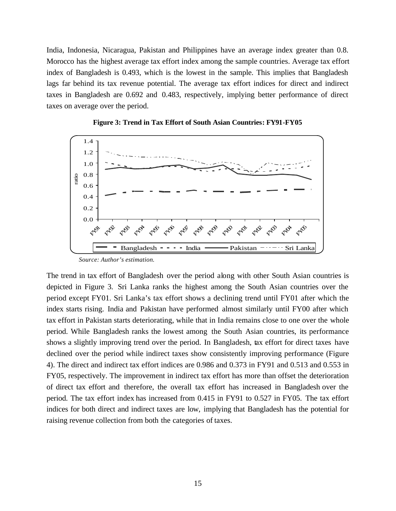India, Indonesia, Nicaragua, Pakistan and Philippines have an average index greater than 0.8. Morocco has the highest average tax effort index among the sample countries. Average tax effort index of Bangladesh is 0.493, which is the lowest in the sample. This implies that Bangladesh lags far behind its tax revenue potential. The average tax effort indices for direct and indirect taxes in Bangladesh are 0.692 and 0.483, respectively, implying better performance of direct taxes on average over the period.





The trend in tax effort of Bangladesh over the period along with other South Asian countries is depicted in Figure 3. Sri Lanka ranks the highest among the South Asian countries over the period except FY01. Sri Lanka's tax effort shows a declining trend until FY01 after which the index starts rising. India and Pakistan have performed almost similarly until FY00 after which tax effort in Pakistan starts deteriorating, while that in India remains close to one over the whole period. While Bangladesh ranks the lowest among the South Asian countries, its performance shows a slightly improving trend over the period. In Bangladesh, tax effort for direct taxes have declined over the period while indirect taxes show consistently improving performance (Figure 4). The direct and indirect tax effort indices are 0.986 and 0.373 in FY91 and 0.513 and 0.553 in FY05, respectively. The improvement in indirect tax effort has more than offset the deterioration of direct tax effort and therefore, the overall tax effort has increased in Bangladesh over the period. The tax effort index has increased from 0.415 in FY91 to 0.527 in FY05. The tax effort indices for both direct and indirect taxes are low, implying that Bangladesh has the potential for raising revenue collection from both the categories of taxes.

*Source: Author's estimation.*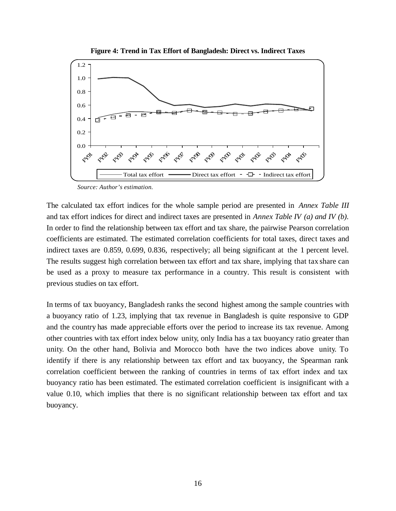



 *Source: Author's estimation.*

The calculated tax effort indices for the whole sample period are presented in *Annex Table III* and tax effort indices for direct and indirect taxes are presented in *Annex Table IV (a) and IV (b)*. In order to find the relationship between tax effort and tax share, the pairwise Pearson correlation coefficients are estimated. The estimated correlation coefficients for total taxes, direct taxes and indirect taxes are 0.859, 0.699, 0.836, respectively; all being significant at the 1 percent level. The results suggest high correlation between tax effort and tax share, implying that tax share can be used as a proxy to measure tax performance in a country. This result is consistent with previous studies on tax effort.

In terms of tax buoyancy, Bangladesh ranks the second highest among the sample countries with a buoyancy ratio of 1.23, implying that tax revenue in Bangladesh is quite responsive to GDP and the country has made appreciable efforts over the period to increase its tax revenue. Among other countries with tax effort index below unity, only India has a tax buoyancy ratio greater than unity. On the other hand, Bolivia and Morocco both have the two indices above unity. To identify if there is any relationship between tax effort and tax buoyancy, the Spearman rank correlation coefficient between the ranking of countries in terms of tax effort index and tax buoyancy ratio has been estimated. The estimated correlation coefficient is insignificant with a value 0.10, which implies that there is no significant relationship between tax effort and tax buoyancy.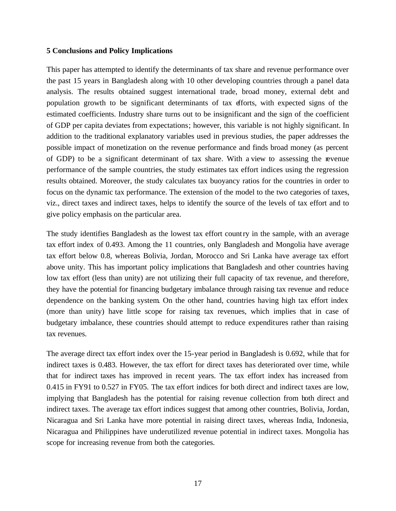#### **5 Conclusions and Policy Implications**

This paper has attempted to identify the determinants of tax share and revenue performance over the past 15 years in Bangladesh along with 10 other developing countries through a panel data analysis. The results obtained suggest international trade, broad money, external debt and population growth to be significant determinants of tax efforts, with expected signs of the estimated coefficients. Industry share turns out to be insignificant and the sign of the coefficient of GDP per capita deviates from expectations; however, this variable is not highly significant. In addition to the traditional explanatory variables used in previous studies, the paper addresses the possible impact of monetization on the revenue performance and finds broad money (as percent of GDP) to be a significant determinant of tax share. With a view to assessing the revenue performance of the sample countries, the study estimates tax effort indices using the regression results obtained. Moreover, the study calculates tax buoyancy ratios for the countries in order to focus on the dynamic tax performance. The extension of the model to the two categories of taxes, viz., direct taxes and indirect taxes, helps to identify the source of the levels of tax effort and to give policy emphasis on the particular area.

The study identifies Bangladesh as the lowest tax effort country in the sample, with an average tax effort index of 0.493. Among the 11 countries, only Bangladesh and Mongolia have average tax effort below 0.8, whereas Bolivia, Jordan, Morocco and Sri Lanka have average tax effort above unity. This has important policy implications that Bangladesh and other countries having low tax effort (less than unity) are not utilizing their full capacity of tax revenue, and therefore, they have the potential for financing budgetary imbalance through raising tax revenue and reduce dependence on the banking system. On the other hand, countries having high tax effort index (more than unity) have little scope for raising tax revenues, which implies that in case of budgetary imbalance, these countries should attempt to reduce expenditures rather than raising tax revenues.

The average direct tax effort index over the 15-year period in Bangladesh is 0.692, while that for indirect taxes is 0.483. However, the tax effort for direct taxes has deteriorated over time, while that for indirect taxes has improved in recent years. The tax effort index has increased from 0.415 in FY91 to 0.527 in FY05. The tax effort indices for both direct and indirect taxes are low, implying that Bangladesh has the potential for raising revenue collection from both direct and indirect taxes. The average tax effort indices suggest that among other countries, Bolivia, Jordan, Nicaragua and Sri Lanka have more potential in raising direct taxes, whereas India, Indonesia, Nicaragua and Philippines have underutilized revenue potential in indirect taxes. Mongolia has scope for increasing revenue from both the categories.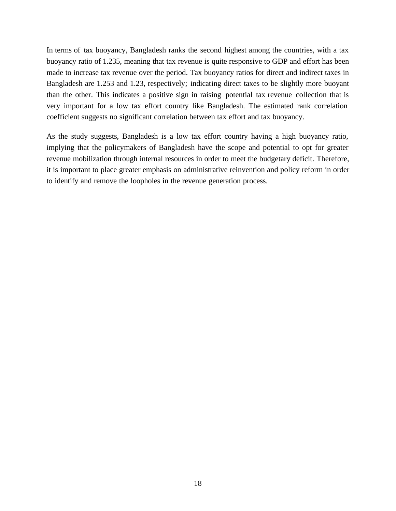In terms of tax buoyancy, Bangladesh ranks the second highest among the countries, with a tax buoyancy ratio of 1.235, meaning that tax revenue is quite responsive to GDP and effort has been made to increase tax revenue over the period. Tax buoyancy ratios for direct and indirect taxes in Bangladesh are 1.253 and 1.23, respectively; indicating direct taxes to be slightly more buoyant than the other. This indicates a positive sign in raising potential tax revenue collection that is very important for a low tax effort country like Bangladesh. The estimated rank correlation coefficient suggests no significant correlation between tax effort and tax buoyancy.

As the study suggests, Bangladesh is a low tax effort country having a high buoyancy ratio, implying that the policymakers of Bangladesh have the scope and potential to opt for greater revenue mobilization through internal resources in order to meet the budgetary deficit. Therefore, it is important to place greater emphasis on administrative reinvention and policy reform in order to identify and remove the loopholes in the revenue generation process.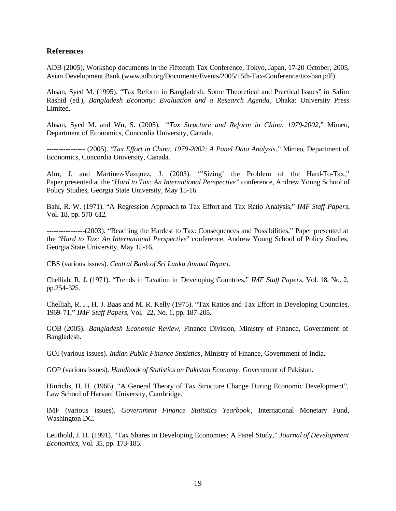#### **References**

ADB (2005). Workshop documents in the Fifteenth Tax Conference, Tokyo, Japan, 17-20 October, 2005, Asian Development Bank (www.adb.org/Documents/Events/2005/15th-Tax-Conference/tax-ban.pdf).

Ahsan, Syed M. (1995). "Tax Reform in Bangladesh: Some Theoretical and Practical Issues" in Salim Rashid (ed.), *Bangladesh Economy: Evaluation and a Research Agenda*, Dhaka: University Press Limited.

Ahsan, Syed M. and Wu, S. (2005). *"Tax Structure and Reform in China, 1979-2002*," Mimeo, Department of Economics, Concordia University, Canada.

---------------- (2005). "*Tax Effort in China, 1979-2002: A Panel Data Analysis*," Mimeo, Department of Economics, Concordia University, Canada.

Alm, J. and Martinez-Vazquez, J. (2003). "'Sizing' the Problem of the Hard-To-Tax," Paper presented at the "*Hard to Tax: An International Perspective*" conference, Andrew Young School of Policy Studies, Georgia State University, May 15-16.

Bahl, R. W. (1971). "A Regression Approach to Tax Effort and Tax Ratio Analysis," *IMF Staff Papers*, Vol. 18, pp. 570-612.

----------------(2003). "Reaching the Hardest to Tax: Consequences and Possibilities," Paper presented at the "*Hard to Tax: An International Perspective*" conference, Andrew Young School of Policy Studies, Georgia State University, May 15-16.

CBS (various issues). *Central Bank of Sri Lanka Annual Report*.

Chelliah, R. J. (1971). "Trends in Taxation in Developing Countries," *IMF Staff Papers*, Vol. 18, No. 2, pp.254-325.

Chelliah, R. J., H. J. Baas and M. R. Kelly (1975). "Tax Ratios and Tax Effort in Developing Countries, 1969-71," *IMF Staff Papers*, Vol. 22, No. 1, pp. 187-205.

GOB (2005). *Bangladesh Economic Review*, Finance Division, Ministry of Finance, Government of Bangladesh.

GOI (various issues). *Indian Public Finance Statistics*, Ministry of Finance, Government of India.

GOP (various issues). *Handbook of Statistics on Pakistan Economy*, Government of Pakistan.

Hinrichs, H. H. (1966). "A General Theory of Tax Structure Change During Economic Development", Law School of Harvard University, Cambridge.

IMF (various issues). *Government Finance Statistics Yearbook* , International Monetary Fund, Washington DC.

Leuthold, J. H. (1991). "Tax Shares in Developing Economies: A Panel Study," *Journal of Development Economics*, Vol. 35, pp. 173-185.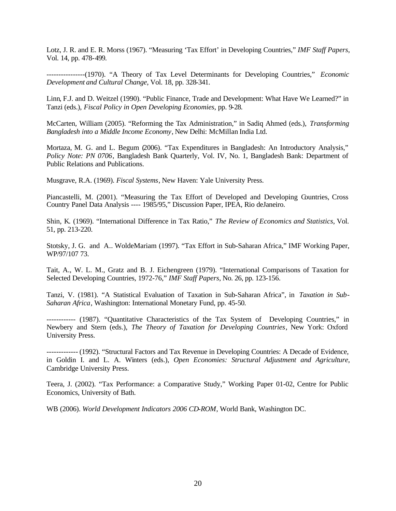Lotz, J. R. and E. R. Morss (1967). "Measuring 'Tax Effort' in Developing Countries," *IMF Staff Papers*, Vol. 14, pp. 478-499.

----------------(1970). "A Theory of Tax Level Determinants for Developing Countries," *Economic Development and Cultural Change*, Vol. 18, pp. 328-341.

Linn, F.J. and D. Weitzel (1990). "Public Finance, Trade and Development: What Have We Learned?" in Tanzi (eds.), *Fiscal Policy in Open Developing Economies*, pp. 9-28.

McCarten, William (2005). "Reforming the Tax Administration," in Sadiq Ahmed (eds.), *Transforming Bangladesh into a Middle Income Economy*, New Delhi: McMillan India Ltd.

Mortaza, M. G. and L. Begum (2006). "Tax Expenditures in Bangladesh: An Introductory Analysis," *Policy Note: PN 0706*, Bangladesh Bank Quarterly, Vol. IV, No. 1, Bangladesh Bank: Department of Public Relations and Publications.

Musgrave, R.A. (1969). *Fiscal Systems*, New Haven: Yale University Press.

Piancastelli, M. (2001). "Measuring the Tax Effort of Developed and Developing Countries, Cross Country Panel Data Analysis ---- 1985/95," Discussion Paper, IPEA, Rio deJaneiro.

Shin, K. (1969). "International Difference in Tax Ratio," *The Review of Economics and Statistics*, Vol. 51, pp. 213-220.

Stotsky, J. G. and A.. WoldeMariam (1997). "Tax Effort in Sub-Saharan Africa," IMF Working Paper, WP/97/107 73.

Tait, A., W. L. M., Gratz and B. J. Eichengreen (1979). "International Comparisons of Taxation for Selected Developing Countries, 1972-76," *IMF Staff Papers*, No. 26, pp. 123-156.

Tanzi, V. (1981). "A Statistical Evaluation of Taxation in Sub-Saharan Africa", in *Taxation in Sub-Saharan Africa*, Washington: International Monetary Fund, pp. 45-50.

------------ (1987). "Quantitative Characteristics of the Tax System of Developing Countries," in Newbery and Stern (eds.), *The Theory of Taxation for Developing Countries*, New York: Oxford University Press.

------------- (1992). "Structural Factors and Tax Revenue in Developing Countries: A Decade of Evidence, in Goldin I. and L. A. Winters (eds.), *Open Economies: Structural Adjustment and Agriculture*, Cambridge University Press.

Teera, J. (2002). "Tax Performance: a Comparative Study," Working Paper 01-02, Centre for Public Economics, University of Bath.

WB (2006). *World Development Indicators 2006 CD-ROM*, World Bank, Washington DC.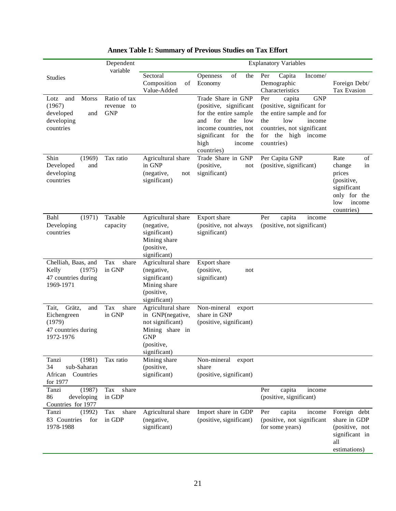|                                                                                     | <b>Explanatory Variables</b>                |                                                                                                                           |                                                                                                                                                                                         |                                                                                                                                                                                      |                                                                                                                  |
|-------------------------------------------------------------------------------------|---------------------------------------------|---------------------------------------------------------------------------------------------------------------------------|-----------------------------------------------------------------------------------------------------------------------------------------------------------------------------------------|--------------------------------------------------------------------------------------------------------------------------------------------------------------------------------------|------------------------------------------------------------------------------------------------------------------|
| <b>Studies</b>                                                                      | variable                                    | Sectoral<br>Composition<br>of<br>Value-Added                                                                              | of<br>the<br>Openness<br>Economy                                                                                                                                                        | Per<br>Capita<br>Income/<br>Demographic<br>Characteristics                                                                                                                           | Foreign Debt/<br>Tax Evasion                                                                                     |
| Morss<br>Lotz<br>and<br>(1967)<br>developed<br>and<br>developing<br>countries       | Ratio of tax<br>revenue<br>to<br><b>GNP</b> |                                                                                                                           | Trade Share in GNP<br>(positive, significant<br>for the entire sample<br>for<br>and<br>the<br>low<br>income countries, not<br>significant<br>for<br>the<br>high<br>income<br>countries) | <b>GNP</b><br>Per<br>capita<br>(positive, significant for<br>the entire sample and for<br>low<br>the<br>income<br>countries, not significant<br>for<br>the high income<br>countries) |                                                                                                                  |
| (1969)<br>Shin<br>Developed<br>and<br>developing<br>countries                       | Tax ratio                                   | Agricultural share<br>in GNP<br>(negative,<br>not<br>significant)                                                         | Trade Share in GNP<br>(positive,<br>not<br>significant)                                                                                                                                 | Per Capita GNP<br>(positive, significant)                                                                                                                                            | Rate<br>of<br>change<br>in<br>prices<br>(positive,<br>significant<br>only for the<br>low<br>income<br>countries) |
| (1971)<br>Bahl<br>Developing<br>countries                                           | Taxable<br>capacity                         | Agricultural share<br>(negative,<br>significant)<br>Mining share<br>(positive,<br>significant)                            | Export share<br>(positive, not always<br>significant)                                                                                                                                   | Per<br>capita<br>income<br>(positive, not significant)                                                                                                                               |                                                                                                                  |
| Chelliah, Baas, and<br>Kelly<br>(1975)<br>47 countries during<br>1969-1971          | Tax<br>share<br>in GNP                      | Agricultural share<br>(negative,<br>significant)<br>Mining share<br>(positive,<br>significant)                            | Export share<br>(positive,<br>not<br>significant)                                                                                                                                       |                                                                                                                                                                                      |                                                                                                                  |
| Tait,<br>Grätz,<br>and<br>Eichengreen<br>(1979)<br>47 countries during<br>1972-1976 | Tax<br>share<br>in GNP                      | Agricultural share<br>in GNP(negative,<br>not significant)<br>Mining share in<br><b>GNP</b><br>(positive,<br>significant) | Non-mineral<br>export<br>share in GNP<br>(positive, significant)                                                                                                                        |                                                                                                                                                                                      |                                                                                                                  |
| (1981)<br>Tanzi<br>34<br>sub-Saharan<br>African<br>Countries<br>for 1977            | Tax ratio                                   | Mining share<br>(positive,<br>significant)                                                                                | Non-mineral<br>export<br>share<br>(positive, significant)                                                                                                                               |                                                                                                                                                                                      |                                                                                                                  |
| (1987)<br>Tanzi<br>86<br>developing<br>Countries for 1977                           | share<br>Tax<br>in GDP                      |                                                                                                                           |                                                                                                                                                                                         | Per<br>capita<br>income<br>(positive, significant)                                                                                                                                   |                                                                                                                  |
| Tanzi<br>(1992)<br>83 Countries<br>for<br>1978-1988                                 | share<br>Tax<br>in GDP                      | Agricultural share<br>(negative,<br>significant)                                                                          | Import share in GDP<br>(positive, significant)                                                                                                                                          | Per<br>capita<br>income<br>(positive, not significant<br>for some years)                                                                                                             | Foreign debt<br>share in GDP<br>(positive, not<br>significant in<br>all<br>estimations)                          |

# **Annex Table I: Summary of Previous Studies on Tax Effort**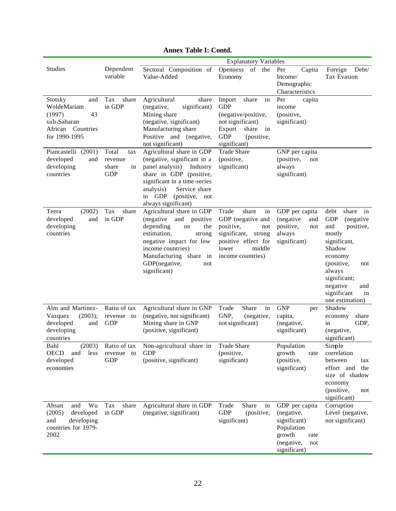|                                                                                                                                                             |                                                                  |                                                                                                                                                                                                                                                                 | <b>Explanatory Variables</b>                                                                                                                                                                         |                                                                                                                   |                                                                                                                                                                                                                             |
|-------------------------------------------------------------------------------------------------------------------------------------------------------------|------------------------------------------------------------------|-----------------------------------------------------------------------------------------------------------------------------------------------------------------------------------------------------------------------------------------------------------------|------------------------------------------------------------------------------------------------------------------------------------------------------------------------------------------------------|-------------------------------------------------------------------------------------------------------------------|-----------------------------------------------------------------------------------------------------------------------------------------------------------------------------------------------------------------------------|
| <b>Studies</b>                                                                                                                                              | Dependent<br>variable                                            | Sectoral Composition of<br>Value-Added                                                                                                                                                                                                                          | Openness<br>of the<br>Economy                                                                                                                                                                        | Per<br>Capita<br>Income/<br>Demographic<br>Characteristics                                                        | Foreign<br>Debt/<br>Tax Evasion                                                                                                                                                                                             |
| Stotsky<br>and<br>WoldeMariam<br>(1997)<br>43<br>sub-Saharan<br>African Countries<br>for 1990-1995<br>Piancastelli (2001)<br>developed<br>and<br>developing | Tax<br>share<br>in GDP<br>Total<br>tax<br>revenue<br>share<br>in | Agricultural<br>share<br>(negative,<br>significant)<br>Mining share<br>(negative, significant)<br>Manufacturing share<br>Positive and (negative,<br>not significant)<br>Agricultural share in GDP<br>(negative, significant in a<br>panel analysis)<br>Industry | in<br>Import<br>share<br><b>GDP</b><br>(negative/positive,<br>not significant)<br>Export share<br>in<br><b>GDP</b><br>(positive,<br>significant)<br><b>Trade Share</b><br>(positive,<br>significant) | Per<br>capita<br>income<br>(positive,<br>significant)<br>GNP per capita<br>(positive,<br>not<br>always            |                                                                                                                                                                                                                             |
| countries                                                                                                                                                   | <b>GDP</b>                                                       | share in GDP (positive,<br>significant in a time-series<br>Service share<br>analysis)<br>in GDP<br>(positive, not<br>always significant)                                                                                                                        |                                                                                                                                                                                                      | significant)                                                                                                      |                                                                                                                                                                                                                             |
| (2002)<br>Teera<br>developed<br>and<br>developing<br>countries                                                                                              | Tax<br>share<br>in GDP                                           | Agricultural share in GDP<br>(negative)<br>and<br>positive<br>depending<br>the<br>on<br>estimation,<br>strong<br>negative impact for low<br>income countries)<br>Manufacturing share in<br>GDP(negative,<br>not<br>significant)                                 | Trade<br>share<br>in<br>GDP (negative and<br>positive,<br>not<br>significant,<br>strong<br>positive effect for<br>middle<br>lower<br>income countries)                                               | GDP per capita<br>(negative<br>and<br>positive,<br>not<br>always<br>significant)                                  | debt<br>share<br>in<br><b>GDP</b><br>(negative<br>and<br>positive,<br>mostly<br>significant,<br>Shadow<br>economy<br>(positive,<br>not<br>always<br>significant;<br>negative<br>and<br>significant<br>in<br>one estimation) |
| Alm and Martinez-<br>(2003);<br>Vazquez<br>developed<br>and<br>developing<br>countries                                                                      | Ratio of tax<br>revenue to<br><b>GDP</b>                         | Agricultural share in GNP<br>(negative, not significant)<br>Mining share in GNP<br>(positive, significant)                                                                                                                                                      | Share<br>Trade<br>in<br>GNP,<br>(negative,<br>not significant)                                                                                                                                       | <b>GNP</b><br>per<br>capita,<br>(negative,<br>significant)                                                        | Shadow<br>share<br>economy<br>GDP,<br>in<br>(negative,<br>significant)                                                                                                                                                      |
| Bahl<br>(2003)<br><b>OECD</b><br>and<br>less<br>developed<br>economies                                                                                      | Ratio of tax<br>revenue to<br><b>GDP</b>                         | Non-agricultural share in<br><b>GDP</b><br>(positive, significant)                                                                                                                                                                                              | <b>Trade Share</b><br>(positive,<br>significant)                                                                                                                                                     | Population<br>growth<br>rate<br>(positive,<br>significant)                                                        | Simple<br>correlation<br>between<br>tax<br>effort and<br>the<br>size of shadow<br>economy<br>(positive,<br>not<br>significant)                                                                                              |
| Wu<br>and<br>Ahsan<br>(2005)<br>developed<br>developing<br>and<br>countries for 1979-<br>2002                                                               | share<br>Tax<br>in GDP                                           | Agricultural share in GDP<br>(negative, significant)                                                                                                                                                                                                            | Share<br>Trade<br>in<br><b>GDP</b><br>(positive,<br>significant)                                                                                                                                     | GDP per capita<br>(negative,<br>significant)<br>Population<br>growth<br>rate<br>(negative,<br>not<br>significant) | Corruption<br>Level (negative,<br>not significant)                                                                                                                                                                          |

# **Annex Table I: Contd.**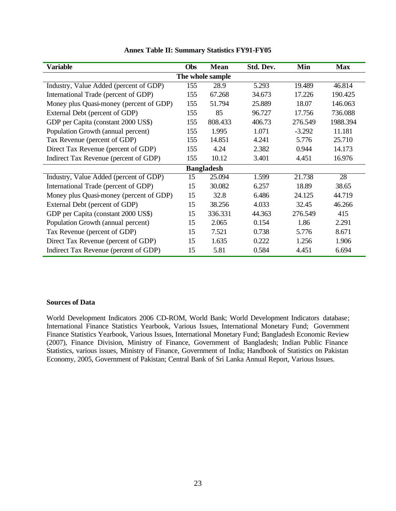| <b>Variable</b>                         | Obs | <b>Mean</b>      | Std. Dev. | Min      | <b>Max</b> |  |  |  |  |  |
|-----------------------------------------|-----|------------------|-----------|----------|------------|--|--|--|--|--|
|                                         |     | The whole sample |           |          |            |  |  |  |  |  |
| Industry, Value Added (percent of GDP)  | 155 | 28.9             | 5.293     | 19.489   | 46.814     |  |  |  |  |  |
| International Trade (percent of GDP)    | 155 | 67.268           | 34.673    | 17.226   | 190.425    |  |  |  |  |  |
| Money plus Quasi-money (percent of GDP) | 155 | 51.794           | 25.889    | 18.07    | 146.063    |  |  |  |  |  |
| External Debt (percent of GDP)          | 155 | 85               | 96.727    | 17.756   | 736.088    |  |  |  |  |  |
| GDP per Capita (constant 2000 US\$)     | 155 | 808.433          | 406.73    | 276.549  | 1988.394   |  |  |  |  |  |
| Population Growth (annual percent)      | 155 | 1.995            | 1.071     | $-3.292$ | 11.181     |  |  |  |  |  |
| Tax Revenue (percent of GDP)            | 155 | 14.851           | 4.241     | 5.776    | 25.710     |  |  |  |  |  |
| Direct Tax Revenue (percent of GDP)     | 155 | 4.24             | 2.382     | 0.944    | 14.173     |  |  |  |  |  |
| Indirect Tax Revenue (percent of GDP)   | 155 | 10.12            | 3.401     | 4.451    | 16.976     |  |  |  |  |  |
| <b>Bangladesh</b>                       |     |                  |           |          |            |  |  |  |  |  |
| Industry, Value Added (percent of GDP)  | 15  | 25.094           | 1.599     | 21.738   | 28         |  |  |  |  |  |
| International Trade (percent of GDP)    | 15  | 30.082           | 6.257     | 18.89    | 38.65      |  |  |  |  |  |
| Money plus Quasi-money (percent of GDP) | 15  | 32.8             | 6.486     | 24.125   | 44.719     |  |  |  |  |  |
| External Debt (percent of GDP)          | 15  | 38.256           | 4.033     | 32.45    | 46.266     |  |  |  |  |  |
| GDP per Capita (constant 2000 US\$)     | 15  | 336.331          | 44.363    | 276.549  | 415        |  |  |  |  |  |
| Population Growth (annual percent)      | 15  | 2.065            | 0.154     | 1.86     | 2.291      |  |  |  |  |  |
| Tax Revenue (percent of GDP)            | 15  | 7.521            | 0.738     | 5.776    | 8.671      |  |  |  |  |  |
| Direct Tax Revenue (percent of GDP)     | 15  | 1.635            | 0.222     | 1.256    | 1.906      |  |  |  |  |  |
| Indirect Tax Revenue (percent of GDP)   | 15  | 5.81             | 0.584     | 4.451    | 6.694      |  |  |  |  |  |

### **Annex Table II: Summary Statistics FY91-FY05**

#### **Sources of Data**

World Development Indicators 2006 CD-ROM, World Bank; World Development Indicators database; International Finance Statistics Yearbook, Various Issues, International Monetary Fund; Government Finance Statistics Yearbook, Various Issues, International Monetary Fund; Bangladesh Economic Review (2007), Finance Division, Ministry of Finance, Government of Bangladesh; Indian Public Finance Statistics, various issues, Ministry of Finance, Government of India; Handbook of Statistics on Pakistan Economy, 2005, Government of Pakistan; Central Bank of Sri Lanka Annual Report, Various Issues.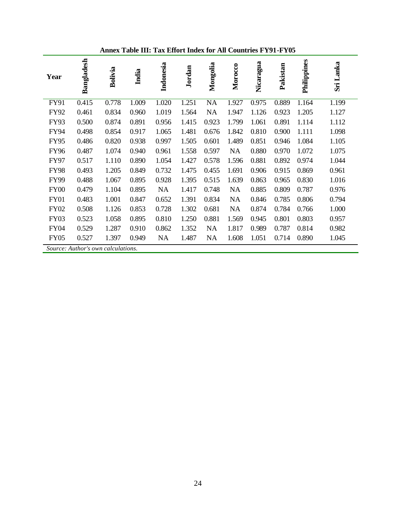| Year        | Bangladesh                         | Bolivia | India | Indonesia | Jordan | Mongolia  | Morocco   | Nicaragua | Pakistan | Philippines | Sri Lanka |
|-------------|------------------------------------|---------|-------|-----------|--------|-----------|-----------|-----------|----------|-------------|-----------|
| FY91        | 0.415                              | 0.778   | 1.009 | 1.020     | 1.251  | <b>NA</b> | 1.927     | 0.975     | 0.889    | 1.164       | 1.199     |
| <b>FY92</b> | 0.461                              | 0.834   | 0.960 | 1.019     | 1.564  | <b>NA</b> | 1.947     | 1.126     | 0.923    | 1.205       | 1.127     |
| <b>FY93</b> | 0.500                              | 0.874   | 0.891 | 0.956     | 1.415  | 0.923     | 1.799     | 1.061     | 0.891    | 1.114       | 1.112     |
| <b>FY94</b> | 0.498                              | 0.854   | 0.917 | 1.065     | 1.481  | 0.676     | 1.842     | 0.810     | 0.900    | 1.111       | 1.098     |
| <b>FY95</b> | 0.486                              | 0.820   | 0.938 | 0.997     | 1.505  | 0.601     | 1.489     | 0.851     | 0.946    | 1.084       | 1.105     |
| <b>FY96</b> | 0.487                              | 1.074   | 0.940 | 0.961     | 1.558  | 0.597     | NA        | 0.880     | 0.970    | 1.072       | 1.075     |
| <b>FY97</b> | 0.517                              | 1.110   | 0.890 | 1.054     | 1.427  | 0.578     | 1.596     | 0.881     | 0.892    | 0.974       | 1.044     |
| <b>FY98</b> | 0.493                              | 1.205   | 0.849 | 0.732     | 1.475  | 0.455     | 1.691     | 0.906     | 0.915    | 0.869       | 0.961     |
| <b>FY99</b> | 0.488                              | 1.067   | 0.895 | 0.928     | 1.395  | 0.515     | 1.639     | 0.863     | 0.965    | 0.830       | 1.016     |
| <b>FY00</b> | 0.479                              | 1.104   | 0.895 | <b>NA</b> | 1.417  | 0.748     | <b>NA</b> | 0.885     | 0.809    | 0.787       | 0.976     |
| FY01        | 0.483                              | 1.001   | 0.847 | 0.652     | 1.391  | 0.834     | <b>NA</b> | 0.846     | 0.785    | 0.806       | 0.794     |
| <b>FY02</b> | 0.508                              | 1.126   | 0.853 | 0.728     | 1.302  | 0.681     | NA        | 0.874     | 0.784    | 0.766       | 1.000     |
| <b>FY03</b> | 0.523                              | 1.058   | 0.895 | 0.810     | 1.250  | 0.881     | 1.569     | 0.945     | 0.801    | 0.803       | 0.957     |
| <b>FY04</b> | 0.529                              | 1.287   | 0.910 | 0.862     | 1.352  | <b>NA</b> | 1.817     | 0.989     | 0.787    | 0.814       | 0.982     |
| <b>FY05</b> | 0.527                              | 1.397   | 0.949 | <b>NA</b> | 1.487  | <b>NA</b> | 1.608     | 1.051     | 0.714    | 0.890       | 1.045     |
|             | Source: Author's own calculations. |         |       |           |        |           |           |           |          |             |           |

**Annex Table III: Tax Effort Index for All Countries FY91-FY05**